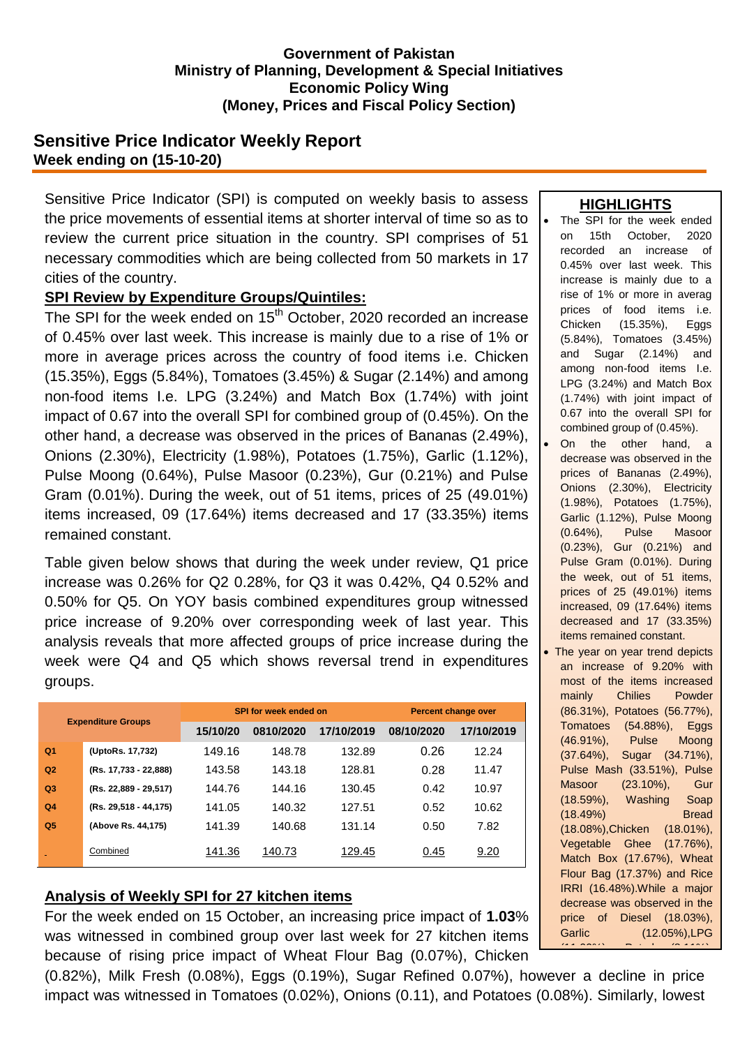### **Government of Pakistan Ministry of Planning, Development & Special Initiatives Economic Policy Wing (Money, Prices and Fiscal Policy Section)**

## **Sensitive Price Indicator Weekly Report Week ending on (15-10-20)**

Sensitive Price Indicator (SPI) is computed on weekly basis to assess the price movements of essential items at shorter interval of time so as to review the current price situation in the country. SPI comprises of 51 necessary commodities which are being collected from 50 markets in 17 cities of the country.

## **SPI Review by Expenditure Groups/Quintiles:**

The SPI for the week ended on 15<sup>th</sup> October, 2020 recorded an increase of 0.45% over last week. This increase is mainly due to a rise of 1% or more in average prices across the country of food items i.e. Chicken (15.35%), Eggs (5.84%), Tomatoes (3.45%) & Sugar (2.14%) and among non-food items I.e. LPG (3.24%) and Match Box (1.74%) with joint impact of 0.67 into the overall SPI for combined group of (0.45%). On the other hand, a decrease was observed in the prices of Bananas (2.49%), Onions (2.30%), Electricity (1.98%), Potatoes (1.75%), Garlic (1.12%), Pulse Moong (0.64%), Pulse Masoor (0.23%), Gur (0.21%) and Pulse Gram (0.01%). During the week, out of 51 items, prices of 25 (49.01%) items increased, 09 (17.64%) items decreased and 17 (33.35%) items remained constant.

Table given below shows that during the week under review, Q1 price increase was 0.26% for Q2 0.28%, for Q3 it was 0.42%, Q4 0.52% and 0.50% for Q5. On YOY basis combined expenditures group witnessed price increase of 9.20% over corresponding week of last year. This analysis reveals that more affected groups of price increase during the week were Q4 and Q5 which shows reversal trend in expenditures groups.

| <b>Expenditure Groups</b> |                       |          | SPI for week ended on | Percent change over |            |            |
|---------------------------|-----------------------|----------|-----------------------|---------------------|------------|------------|
|                           |                       | 15/10/20 | 0810/2020             | 17/10/2019          | 08/10/2020 | 17/10/2019 |
| Q <sub>1</sub>            | (UptoRs. 17,732)      | 149.16   | 148.78                | 132.89              | 0.26       | 12.24      |
| Q <sub>2</sub>            | (Rs. 17,733 - 22,888) | 143.58   | 143.18                | 128.81              | 0.28       | 11.47      |
| Q <sub>3</sub>            | (Rs. 22,889 - 29,517) | 144.76   | 144.16                | 130.45              | 0.42       | 10.97      |
| Q <sub>4</sub>            | (Rs. 29,518 - 44,175) | 141.05   | 140.32                | 127.51              | 0.52       | 10.62      |
| Q <sub>5</sub>            | (Above Rs. 44,175)    | 141.39   | 140.68                | 131.14              | 0.50       | 7.82       |
|                           | Combined              | 141.36   | 140.73                | 129.45              | 0.45       | 9.20       |

## **Analysis of Weekly SPI for 27 kitchen items**

For the week ended on 15 October, an increasing price impact of **1.03**% was witnessed in combined group over last week for 27 kitchen items because of rising price impact of Wheat Flour Bag (0.07%), Chicken

(0.82%), Milk Fresh (0.08%), Eggs (0.19%), Sugar Refined 0.07%), however a decline in price impact was witnessed in Tomatoes (0.02%), Onions (0.11), and Potatoes (0.08%). Similarly, lowest

### **HIGHLIGHTS**

- The SPI for the week ended on 15th October, 2020 recorded an increase of 0.45% over last week. This increase is mainly due to a rise of 1% or more in averag prices of food items i.e. Chicken (15.35%), Eggs (5.84%), Tomatoes (3.45%) and Sugar (2.14%) and among non-food items I.e. LPG (3.24%) and Match Box (1.74%) with joint impact of 0.67 into the overall SPI for combined group of (0.45%).
- On the other hand, a decrease was observed in the prices of Bananas (2.49%), Onions (2.30%), Electricity (1.98%), Potatoes (1.75%), Garlic (1.12%), Pulse Moong (0.64%), Pulse Masoor (0.23%), Gur (0.21%) and Pulse Gram (0.01%). During the week, out of 51 items, prices of 25 (49.01%) items increased, 09 (17.64%) items decreased and 17 (33.35%) items remained constant.
- The year on year trend depicts an increase of 9.20% with most of the items increased mainly Chilies Powder (86.31%), Potatoes (56.77%), Tomatoes (54.88%), Eggs (46.91%), Pulse Moong (37.64%), Sugar (34.71%), Pulse Mash (33.51%), Pulse Masoor (23.10%), Gur (18.59%), Washing Soap (18.49%) Bread (18.08%),Chicken (18.01%), Vegetable Ghee (17.76%), Match Box (17.67%), Wheat Flour Bag (17.37%) and Rice IRRI (16.48%).While a major decrease was observed in the price of Diesel (18.03%), Garlic (12.05%),LPG  $(11.098)(1.07)$ , Petrol (8.11%),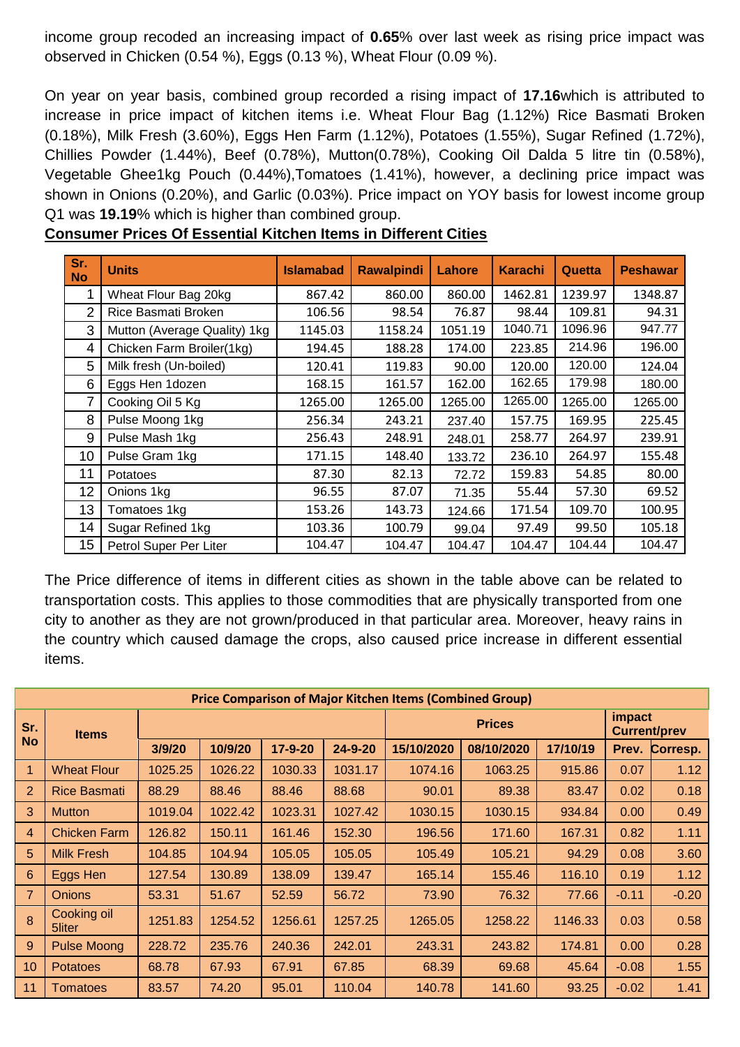income group recoded an increasing impact of **0.65**% over last week as rising price impact was observed in Chicken (0.54 %), Eggs (0.13 %), Wheat Flour (0.09 %).

On year on year basis, combined group recorded a rising impact of **17.16**which is attributed to increase in price impact of kitchen items i.e. Wheat Flour Bag (1.12%) Rice Basmati Broken (0.18%), Milk Fresh (3.60%), Eggs Hen Farm (1.12%), Potatoes (1.55%), Sugar Refined (1.72%), Chillies Powder (1.44%), Beef (0.78%), Mutton(0.78%), Cooking Oil Dalda 5 litre tin (0.58%), Vegetable Ghee1kg Pouch (0.44%),Tomatoes (1.41%), however, a declining price impact was shown in Onions (0.20%), and Garlic (0.03%). Price impact on YOY basis for lowest income group Q1 was **19.19**% which is higher than combined group.

| Sr.<br><b>No</b> | <b>Units</b>                 | <b>Islamabad</b> | <b>Rawalpindi</b> | Lahore  | <b>Karachi</b> | <b>Quetta</b> | <b>Peshawar</b> |
|------------------|------------------------------|------------------|-------------------|---------|----------------|---------------|-----------------|
| 1                | Wheat Flour Bag 20kg         | 867.42           | 860.00            | 860.00  | 1462.81        | 1239.97       | 1348.87         |
| $\overline{2}$   | Rice Basmati Broken          | 106.56           | 98.54             | 76.87   | 98.44          | 109.81        | 94.31           |
| 3                | Mutton (Average Quality) 1kg | 1145.03          | 1158.24           | 1051.19 | 1040.71        | 1096.96       | 947.77          |
| 4                | Chicken Farm Broiler(1kg)    | 194.45           | 188.28            | 174.00  | 223.85         | 214.96        | 196.00          |
| 5                | Milk fresh (Un-boiled)       | 120.41           | 119.83            | 90.00   | 120.00         | 120.00        | 124.04          |
| 6                | Eggs Hen 1dozen              | 168.15           | 161.57            | 162.00  | 162.65         | 179.98        | 180.00          |
| 7                | Cooking Oil 5 Kg             | 1265.00          | 1265.00           | 1265.00 | 1265.00        | 1265.00       | 1265.00         |
| 8                | Pulse Moong 1kg              | 256.34           | 243.21            | 237.40  | 157.75         | 169.95        | 225.45          |
| 9                | Pulse Mash 1kg               | 256.43           | 248.91            | 248.01  | 258.77         | 264.97        | 239.91          |
| 10               | Pulse Gram 1kg               | 171.15           | 148.40            | 133.72  | 236.10         | 264.97        | 155.48          |
| 11               | <b>Potatoes</b>              | 87.30            | 82.13             | 72.72   | 159.83         | 54.85         | 80.00           |
| 12               | Onions 1kg                   | 96.55            | 87.07             | 71.35   | 55.44          | 57.30         | 69.52           |
| 13               | Tomatoes 1kg                 | 153.26           | 143.73            | 124.66  | 171.54         | 109.70        | 100.95          |
| 14               | Sugar Refined 1kg            | 103.36           | 100.79            | 99.04   | 97.49          | 99.50         | 105.18          |
| 15               | Petrol Super Per Liter       | 104.47           | 104.47            | 104.47  | 104.47         | 104.44        | 104.47          |

| <b>Consumer Prices Of Essential Kitchen Items in Different Cities</b> |
|-----------------------------------------------------------------------|
|-----------------------------------------------------------------------|

The Price difference of items in different cities as shown in the table above can be related to transportation costs. This applies to those commodities that are physically transported from one city to another as they are not grown/produced in that particular area. Moreover, heavy rains in the country which caused damage the crops, also caused price increase in different essential items.

| <b>Price Comparison of Major Kitchen Items (Combined Group)</b> |                       |         |         |               |               |            |            |                        |         |          |
|-----------------------------------------------------------------|-----------------------|---------|---------|---------------|---------------|------------|------------|------------------------|---------|----------|
| Sr.<br><b>No</b>                                                | <b>Items</b>          |         |         |               | <b>Prices</b> |            |            | impact<br>Current/prev |         |          |
|                                                                 |                       | 3/9/20  | 10/9/20 | $17 - 9 - 20$ | $24 - 9 - 20$ | 15/10/2020 | 08/10/2020 | 17/10/19               | Prev.   | Corresp. |
| 1                                                               | <b>Wheat Flour</b>    | 1025.25 | 1026.22 | 1030.33       | 1031.17       | 1074.16    | 1063.25    | 915.86                 | 0.07    | 1.12     |
| 2                                                               | <b>Rice Basmati</b>   | 88.29   | 88.46   | 88.46         | 88.68         | 90.01      | 89.38      | 83.47                  | 0.02    | 0.18     |
| 3                                                               | <b>Mutton</b>         | 1019.04 | 1022.42 | 1023.31       | 1027.42       | 1030.15    | 1030.15    | 934.84                 | 0.00    | 0.49     |
| $\overline{4}$                                                  | <b>Chicken Farm</b>   | 126.82  | 150.11  | 161.46        | 152.30        | 196.56     | 171.60     | 167.31                 | 0.82    | 1.11     |
| 5                                                               | <b>Milk Fresh</b>     | 104.85  | 104.94  | 105.05        | 105.05        | 105.49     | 105.21     | 94.29                  | 0.08    | 3.60     |
| 6                                                               | Eggs Hen              | 127.54  | 130.89  | 138.09        | 139.47        | 165.14     | 155.46     | 116.10                 | 0.19    | 1.12     |
| $\overline{7}$                                                  | <b>Onions</b>         | 53.31   | 51.67   | 52.59         | 56.72         | 73.90      | 76.32      | 77.66                  | $-0.11$ | $-0.20$  |
| 8                                                               | Cooking oil<br>5liter | 1251.83 | 1254.52 | 1256.61       | 1257.25       | 1265.05    | 1258.22    | 1146.33                | 0.03    | 0.58     |
| 9                                                               | <b>Pulse Moong</b>    | 228.72  | 235.76  | 240.36        | 242.01        | 243.31     | 243.82     | 174.81                 | 0.00    | 0.28     |
| 10                                                              | <b>Potatoes</b>       | 68.78   | 67.93   | 67.91         | 67.85         | 68.39      | 69.68      | 45.64                  | $-0.08$ | 1.55     |
| 11                                                              | Tomatoes              | 83.57   | 74.20   | 95.01         | 110.04        | 140.78     | 141.60     | 93.25                  | $-0.02$ | 1.41     |